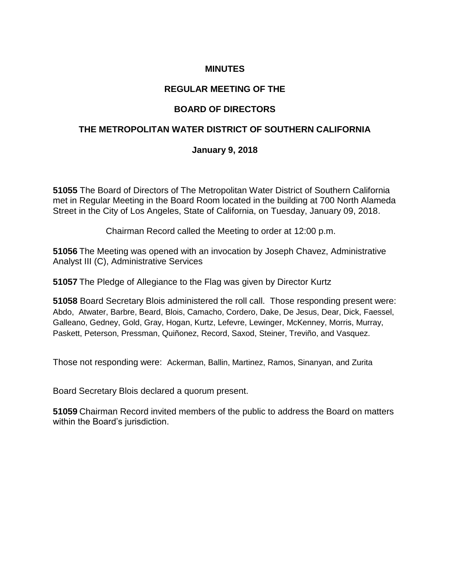# **MINUTES**

### **REGULAR MEETING OF THE**

### **BOARD OF DIRECTORS**

### **THE METROPOLITAN WATER DISTRICT OF SOUTHERN CALIFORNIA**

#### **January 9, 2018**

**51055** The Board of Directors of The Metropolitan Water District of Southern California met in Regular Meeting in the Board Room located in the building at 700 North Alameda Street in the City of Los Angeles, State of California, on Tuesday, January 09, 2018.

Chairman Record called the Meeting to order at 12:00 p.m.

**51056** The Meeting was opened with an invocation by Joseph Chavez, Administrative Analyst III (C), Administrative Services

**51057** The Pledge of Allegiance to the Flag was given by Director Kurtz

**51058** Board Secretary Blois administered the roll call. Those responding present were: Abdo, Atwater, Barbre, Beard, Blois, Camacho, Cordero, Dake, De Jesus, Dear, Dick, Faessel, Galleano, Gedney, Gold, Gray, Hogan, Kurtz, Lefevre, Lewinger, McKenney, Morris, Murray, Paskett, Peterson, Pressman, Quiñonez, Record, Saxod, Steiner, Treviño, and Vasquez.

Those not responding were: Ackerman, Ballin, Martinez, Ramos, Sinanyan, and Zurita

Board Secretary Blois declared a quorum present.

**51059** Chairman Record invited members of the public to address the Board on matters within the Board's jurisdiction.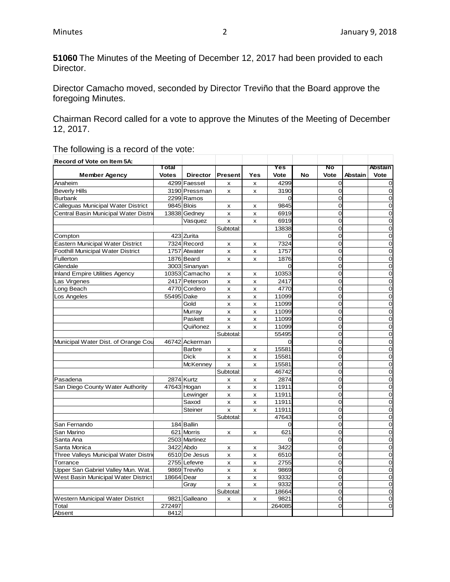**51060** The Minutes of the Meeting of December 12, 2017 had been provided to each Director.

Director Camacho moved, seconded by Director Treviño that the Board approve the foregoing Minutes.

Chairman Record called for a vote to approve the Minutes of the Meeting of December 12, 2017.

The following is a record of the vote:

| Record of Vote on Item 5A:              |              |                 |                           |     |          |           |                |         |                |
|-----------------------------------------|--------------|-----------------|---------------------------|-----|----------|-----------|----------------|---------|----------------|
|                                         | Total        |                 |                           |     | Yes      |           | No             |         | <b>Abstain</b> |
| <b>Member Agency</b>                    | <b>Votes</b> | <b>Director</b> | <b>Present</b>            | Yes | Vote     | <b>No</b> | Vote           | Abstain | Vote           |
| Anaheim                                 |              | 4299 Faessel    | X                         | x   | 4299     |           | $\overline{0}$ |         | 0              |
| <b>Beverly Hills</b>                    |              | 3190 Pressman   | X                         | x   | 3190     |           | $\overline{0}$ |         | 0              |
| <b>Burbank</b>                          |              | 2299 Ramos      |                           |     | $\Omega$ |           | $\mathbf 0$    |         | 0              |
| Calleguas Municipal Water District      |              | 9845 Blois      | x                         | x   | 9845     |           | $\Omega$       |         | 0              |
| Central Basin Municipal Water Distri    |              | 13838 Gedney    | $\pmb{\times}$            | x   | 6919     |           | $\overline{0}$ |         | $\overline{0}$ |
|                                         |              | Vasquez         | $\mathsf{x}$              | x   | 6919     |           | $\Omega$       |         | $\overline{0}$ |
|                                         |              |                 | Subtotal:                 |     | 13838    |           | 0              |         | $\overline{0}$ |
| Compton                                 |              | 423 Zurita      |                           |     | $\Omega$ |           | $\overline{0}$ |         | $\overline{0}$ |
| <b>Eastern Municipal Water District</b> |              | 7324 Record     | x                         | x   | 7324     |           | $\Omega$       |         | $\Omega$       |
| Foothill Municipal Water District       |              | 1757 Atwater    | X                         | x   | 1757     |           | $\Omega$       |         | $\overline{0}$ |
| Fullerton                               |              | 1876 Beard      | X                         | x   | 1876     |           | $\Omega$       |         | 0              |
| Glendale                                |              | 3003 Sinanyan   |                           |     | 0        |           | $\overline{0}$ |         | $\overline{0}$ |
| <b>Inland Empire Utilities Agency</b>   |              | 10353 Camacho   | x                         | x   | 10353    |           | $\Omega$       |         | $\overline{0}$ |
| Las Virgenes                            |              | 2417 Peterson   | $\pmb{\times}$            | x   | 2417     |           | $\overline{0}$ |         | $\mathbf 0$    |
| Long Beach                              |              | 4770 Cordero    | X                         | x   | 4770     |           | $\overline{0}$ |         | $\mathbf 0$    |
| Los Angeles                             | 55495 Dake   |                 | $\pmb{\times}$            | x   | 11099    |           | $\mathbf 0$    |         | $\overline{O}$ |
|                                         |              | Gold            | $\boldsymbol{\mathsf{x}}$ | X   | 11099    |           | $\Omega$       |         | 0              |
|                                         |              | Murray          | $\pmb{\times}$            | x   | 11099    |           | $\overline{0}$ |         | $\overline{0}$ |
|                                         |              | Paskett         | X                         | x   | 11099    |           | $\Omega$       |         | 0              |
|                                         |              | Quiñonez        | $\mathsf{x}$              | x   | 11099    |           | $\overline{O}$ |         | $\overline{0}$ |
|                                         |              |                 | Subtotal:                 |     | 55495    |           | $\overline{0}$ |         | 0              |
| Municipal Water Dist. of Orange Cou     |              | 46742 Ackerman  |                           |     | $\Omega$ |           | $\overline{0}$ |         | $\overline{0}$ |
|                                         |              | <b>Barbre</b>   | X                         | x   | 15581    |           | $\Omega$       |         | $\overline{0}$ |
|                                         |              | <b>Dick</b>     | $\pmb{\times}$            | x   | 15581    |           | $\mathbf 0$    |         | $\mathbf 0$    |
|                                         |              | <b>McKenney</b> | $\pmb{\times}$            | x   | 15581    |           | $\mathbf 0$    |         | $\overline{0}$ |
|                                         |              |                 | Subtotal:                 |     | 46742    |           | $\Omega$       |         | 0              |
| Pasadena                                |              | 2874 Kurtz      | x                         | x   | 2874     |           | $\overline{0}$ |         | $\overline{O}$ |
| San Diego County Water Authority        |              | 47643 Hogan     | $\pmb{\times}$            | x   | 11911    |           | $\Omega$       |         | 0              |
|                                         |              | Lewinger        | X                         | x   | 11911    |           | $\overline{O}$ |         | $\overline{0}$ |
|                                         |              | Saxod           | X                         | X   | 11911    |           | $\overline{0}$ |         | 0              |
|                                         |              | <b>Steiner</b>  | $\mathsf{x}$              | X   | 11911    |           | $\overline{0}$ |         | $\overline{0}$ |
|                                         |              |                 | Subtotal:                 |     | 47643    |           | $\Omega$       |         | $\overline{0}$ |
| San Fernando                            |              | 184 Ballin      |                           |     | 0        |           | $\mathbf 0$    |         | $\mathbf 0$    |
| San Marino                              |              | 621 Morris      | x                         | x   | 621      |           | $\overline{0}$ |         | $\overline{O}$ |
| Santa Ana                               |              | 2503 Martinez   |                           |     | $\Omega$ |           | $\overline{0}$ |         | 0              |
| Santa Monica                            |              | 3422 Abdo       | X                         | x   | 3422     |           | $\Omega$       |         | 0              |
| Three Valleys Municipal Water Distrio   |              | 6510 De Jesus   | X                         | x   | 6510     |           | $\overline{0}$ |         | 0              |
| Torrance                                |              | 2755 Lefevre    | x                         | x   | 2755     |           | $\overline{0}$ |         | 0              |
| Upper San Gabriel Valley Mun. Wat.      |              | 9869 Treviño    | X                         | x   | 9869     |           | $\overline{0}$ |         | 0              |
| West Basin Municipal Water District     | 18664 Dear   |                 | $\pmb{\times}$            | x   | 9332     |           | $\overline{O}$ |         | 0              |
|                                         |              | Gray            | $\pmb{\times}$            | x   | 9332     |           | $\overline{0}$ |         | 0              |
|                                         |              |                 | Subtotal:                 |     | 18664    |           | $\overline{O}$ |         | $\overline{0}$ |
| Western Municipal Water District        |              | 9821 Galleano   | X                         | x   | 9821     |           | $\overline{0}$ |         | $\overline{0}$ |
| Total                                   | 272497       |                 |                           |     | 264085   |           | $\Omega$       |         | $\Omega$       |
| Absent                                  | 8412         |                 |                           |     |          |           |                |         |                |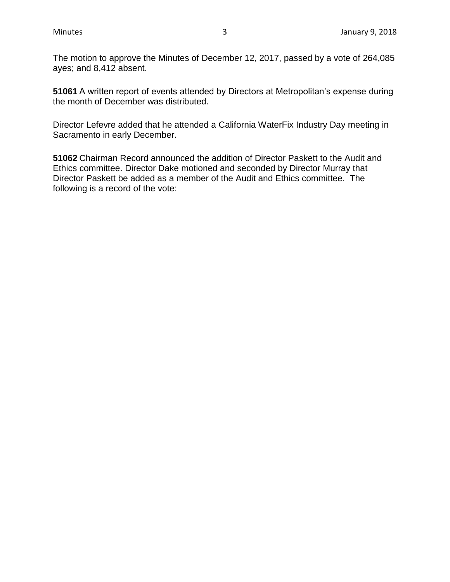The motion to approve the Minutes of December 12, 2017, passed by a vote of 264,085 ayes; and 8,412 absent.

**51061** A written report of events attended by Directors at Metropolitan's expense during the month of December was distributed.

Director Lefevre added that he attended a California WaterFix Industry Day meeting in Sacramento in early December.

**51062** Chairman Record announced the addition of Director Paskett to the Audit and Ethics committee. Director Dake motioned and seconded by Director Murray that Director Paskett be added as a member of the Audit and Ethics committee. The following is a record of the vote: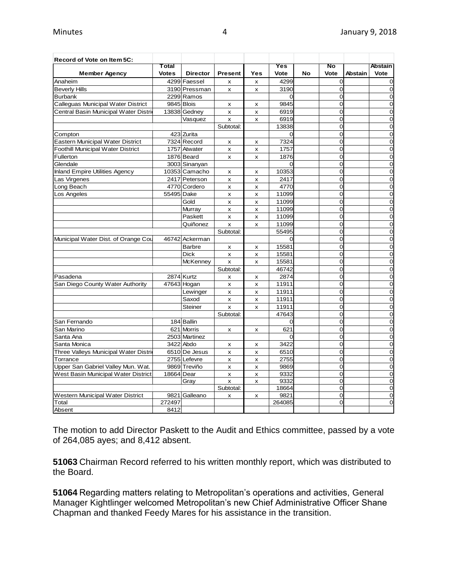| Record of Vote on Item 5C:               |              |                 |                           |                |          |    |                |                |                |
|------------------------------------------|--------------|-----------------|---------------------------|----------------|----------|----|----------------|----------------|----------------|
|                                          | Total        |                 |                           |                | Yes      |    | No             |                | <b>Abstain</b> |
| <b>Member Agency</b>                     | <b>Votes</b> | <b>Director</b> | <b>Present</b>            | Yes            | Vote     | No | <b>Vote</b>    | <b>Abstain</b> | Vote           |
| Anaheim                                  |              | 4299 Faessel    | х                         | X              | 4299     |    | $\mathbf 0$    |                | 0              |
| <b>Beverly Hills</b>                     |              | 3190 Pressman   | X                         | $\mathsf{x}$   | 3190     |    | $\overline{0}$ |                | $\overline{0}$ |
| <b>Burbank</b>                           |              | 2299 Ramos      |                           |                | $\Omega$ |    | $\Omega$       |                | $\Omega$       |
| Calleguas Municipal Water District       | 9845 Blois   |                 | x                         | x              | 9845     |    | $\overline{0}$ |                | 0              |
| Central Basin Municipal Water Distri     |              | 13838 Gedney    | x                         | x              | 6919     |    | 0              |                | $\Omega$       |
|                                          |              | Vasquez         | x                         | x              | 6919     |    | $\Omega$       |                | 0              |
|                                          |              |                 | Subtotal:                 |                | 13838    |    | $\overline{0}$ |                | $\overline{0}$ |
| Compton                                  |              | 423 Zurita      |                           |                | $\Omega$ |    | $\Omega$       |                | $\mathbf 0$    |
| Eastern Municipal Water District         |              | 7324 Record     | x                         | x              | 7324     |    | $\overline{O}$ |                | $\overline{0}$ |
| <b>Foothill Municipal Water District</b> |              | 1757 Atwater    | X                         | x              | 1757     |    | $\overline{0}$ |                | 0              |
| Fullerton                                |              | 1876 Beard      | X                         | X              | 1876     |    | $\Omega$       |                | $\overline{0}$ |
| Glendale                                 |              | 3003 Sinanyan   |                           |                | $\Omega$ |    | $\overline{0}$ |                | $\overline{0}$ |
| <b>Inland Empire Utilities Agency</b>    |              | 10353 Camacho   | x                         | x              | 10353    |    | $\overline{0}$ |                | $\overline{0}$ |
| Las Virgenes                             |              | 2417 Peterson   | X                         | $\pmb{\times}$ | 2417     |    | 0              |                | $\mathbf 0$    |
| Long Beach                               |              | 4770 Cordero    | x                         | x              | 4770     |    | $\overline{0}$ |                | $\overline{0}$ |
| Los Angeles                              | 55495 Dake   |                 | x                         | x              | 11099    |    | $\mathbf 0$    |                | 0              |
|                                          |              | Gold            | x                         | x              | 11099    |    | $\Omega$       |                | $\mathbf 0$    |
|                                          |              | Murray          | x                         | x              | 11099    |    | 0              |                | 0              |
|                                          |              | Paskett         | X                         | X              | 11099    |    | 0              |                | $\overline{0}$ |
|                                          |              | Quiñonez        | $\pmb{\times}$            | x              | 11099    |    | $\overline{O}$ |                | $\overline{0}$ |
|                                          |              |                 | Subtotal:                 |                | 55495    |    | $\mathbf 0$    |                | $\overline{0}$ |
| Municipal Water Dist. of Orange Cou      |              | 46742 Ackerman  |                           |                | $\Omega$ |    | $\overline{0}$ |                | $\overline{0}$ |
|                                          |              | Barbre          | x                         | x              | 15581    |    | 0              |                | $\overline{0}$ |
|                                          |              | Dick            | $\boldsymbol{\mathsf{x}}$ | x              | 15581    |    | 0              |                | $\Omega$       |
|                                          |              | McKenney        | x                         | $\pmb{\times}$ | 15581    |    | $\overline{0}$ |                | $\mathbf 0$    |
|                                          |              |                 | Subtotal:                 |                | 46742    |    | $\Omega$       |                | $\mathbf 0$    |
| Pasadena                                 |              | 2874 Kurtz      | x                         | x              | 2874     |    | $\Omega$       |                | 0              |
| San Diego County Water Authority         |              | 47643 Hogan     | x                         | x              | 11911    |    | 0              |                | $\overline{0}$ |
|                                          |              | Lewinger        | x                         | x              | 11911    |    | 0              |                | $\overline{0}$ |
|                                          |              | Saxod           | x                         | x              | 11911    |    | $\overline{0}$ |                | $\overline{0}$ |
|                                          |              | Steiner         | $\mathsf{x}$              | x              | 11911    |    | $\Omega$       |                | $\overline{0}$ |
|                                          |              |                 | Subtotal:                 |                | 47643    |    | $\Omega$       |                | $\overline{0}$ |
| San Fernando                             |              | 184 Ballin      |                           |                | 0        |    | $\overline{0}$ |                | $\overline{0}$ |
| San Marino                               |              | 621 Morris      | X                         | x              | 621      |    | $\overline{0}$ |                | $\overline{0}$ |
| Santa Ana                                |              | 2503 Martinez   |                           |                | $\Omega$ |    | $\overline{0}$ |                | $\overline{0}$ |
| Santa Monica                             |              | 3422 Abdo       | x                         | x              | 3422     |    | $\Omega$       |                | 0              |
| Three Valleys Municipal Water Distri     |              | 6510 De Jesus   | X                         | x              | 6510     |    | $\Omega$       |                | $\overline{0}$ |
| Torrance                                 |              | 2755 Lefevre    | X                         | X              | 2755     |    | $\overline{O}$ |                | $\mathbf 0$    |
| Upper San Gabriel Valley Mun. Wat.       |              | 9869 Treviño    | $\boldsymbol{\mathsf{x}}$ | X              | 9869     |    | $\mathbf 0$    |                | $\overline{0}$ |
| West Basin Municipal Water District      | 18664 Dear   |                 | x                         | x              | 9332     |    | $\Omega$       |                | $\Omega$       |
|                                          |              | Gray            | X                         | x              | 9332     |    | 0              |                | $\mathbf 0$    |
|                                          |              |                 | Subtotal:                 |                | 18664    |    | $\overline{O}$ |                | $\overline{0}$ |
| Western Municipal Water District         |              | 9821 Galleano   | x                         | x              | 9821     |    | 0              |                | 0              |
| Total                                    | 272497       |                 |                           |                | 264085   |    | $\Omega$       |                | 0              |
| Absent                                   | 8412         |                 |                           |                |          |    |                |                |                |

The motion to add Director Paskett to the Audit and Ethics committee, passed by a vote of 264,085 ayes; and 8,412 absent.

**51063** Chairman Record referred to his written monthly report, which was distributed to the Board.

**51064** Regarding matters relating to Metropolitan's operations and activities, General Manager Kightlinger welcomed Metropolitan's new Chief Administrative Officer Shane Chapman and thanked Feedy Mares for his assistance in the transition.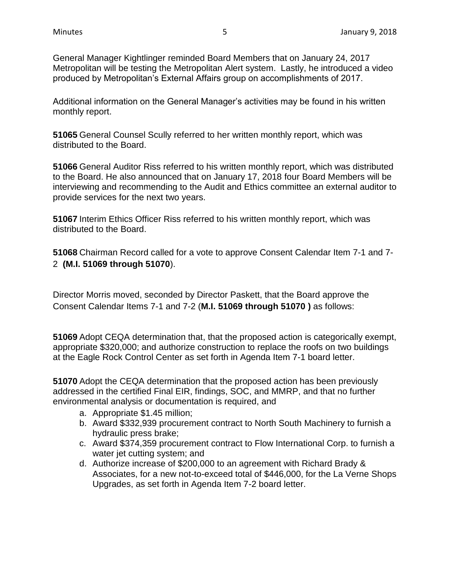General Manager Kightlinger reminded Board Members that on January 24, 2017 Metropolitan will be testing the Metropolitan Alert system. Lastly, he introduced a video produced by Metropolitan's External Affairs group on accomplishments of 2017.

Additional information on the General Manager's activities may be found in his written monthly report.

**51065** General Counsel Scully referred to her written monthly report, which was distributed to the Board.

**51066** General Auditor Riss referred to his written monthly report, which was distributed to the Board. He also announced that on January 17, 2018 four Board Members will be interviewing and recommending to the Audit and Ethics committee an external auditor to provide services for the next two years.

**51067** Interim Ethics Officer Riss referred to his written monthly report, which was distributed to the Board.

**51068** Chairman Record called for a vote to approve Consent Calendar Item 7-1 and 7- 2 **(M.I. 51069 through 51070**).

Director Morris moved, seconded by Director Paskett, that the Board approve the Consent Calendar Items 7-1 and 7-2 (**M.I. 51069 through 51070 )** as follows:

**51069** Adopt CEQA determination that, that the proposed action is categorically exempt, appropriate \$320,000; and authorize construction to replace the roofs on two buildings at the Eagle Rock Control Center as set forth in Agenda Item 7-1 board letter.

**51070** Adopt the CEQA determination that the proposed action has been previously addressed in the certified Final EIR, findings, SOC, and MMRP, and that no further environmental analysis or documentation is required, and

- a. Appropriate \$1.45 million;
- b. Award \$332,939 procurement contract to North South Machinery to furnish a hydraulic press brake;
- c. Award \$374,359 procurement contract to Flow International Corp. to furnish a water jet cutting system; and
- d. Authorize increase of \$200,000 to an agreement with Richard Brady & Associates, for a new not-to-exceed total of \$446,000, for the La Verne Shops Upgrades, as set forth in Agenda Item 7-2 board letter.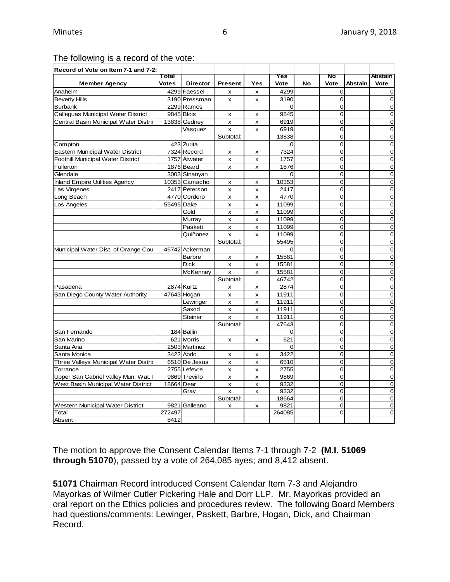# The following is a record of the vote:

| Record of Vote on Item 7-1 and 7-2:      |              |                 |                           |     |                |    |                |                |                |
|------------------------------------------|--------------|-----------------|---------------------------|-----|----------------|----|----------------|----------------|----------------|
|                                          | Total        |                 |                           |     | Yes            |    | No             |                | <b>Abstain</b> |
| <b>Member Agency</b>                     | <b>Votes</b> | <b>Director</b> | <b>Present</b>            | Yes | Vote           | No | Vote           | <b>Abstain</b> | Vote           |
| Anaheim                                  |              | 4299 Faessel    | X                         | X   | 4299           |    | $\mathbf 0$    |                | $\Omega$       |
| <b>Beverly Hills</b>                     |              | 3190 Pressman   | X                         | x   | 3190           |    | $\overline{0}$ |                | $\Omega$       |
| <b>Burbank</b>                           |              | 2299 Ramos      |                           |     | $\overline{0}$ |    | $\overline{0}$ |                | $\mathbf 0$    |
| Calleguas Municipal Water District       |              | 9845 Blois      | x                         | x   | 9845           |    | $\overline{0}$ |                | $\Omega$       |
| Central Basin Municipal Water Distrio    |              | 13838 Gedney    | X                         | X   | 6919           |    | $\Omega$       |                | $\Omega$       |
|                                          |              | Vasquez         | x                         | X   | 6919           |    | $\Omega$       |                | $\Omega$       |
|                                          |              |                 | Subtotal:                 |     | 13838          |    | $\overline{0}$ |                | $\mathbf 0$    |
| Compton                                  |              | 423 Zurita      |                           |     | $\Omega$       |    | $\overline{0}$ |                | $\Omega$       |
| Eastern Municipal Water District         |              | 7324 Record     | $\boldsymbol{\mathsf{x}}$ | x   | 7324           |    | $\Omega$       |                | $\Omega$       |
| <b>Foothill Municipal Water District</b> |              | 1757 Atwater    | x                         | x   | 1757           |    | $\Omega$       |                | $\overline{0}$ |
| Fullerton                                |              | 1876 Beard      | X                         | x   | 1876           |    | 0              |                | $\Omega$       |
| Glendale                                 |              | 3003 Sinanyan   |                           |     | $\Omega$       |    | $\overline{0}$ |                | $\Omega$       |
| <b>Inland Empire Utilities Agency</b>    |              | 10353 Camacho   | X                         | X   | 10353          |    | $\overline{0}$ |                | $\mathbf 0$    |
| Las Virgenes                             |              | 2417 Peterson   | X                         | X   | 2417           |    | $\Omega$       |                | $\mathbf 0$    |
| Long Beach                               |              | 4770 Cordero    | X                         | X   | 4770           |    | $\Omega$       |                | 0              |
| Los Angeles                              | 55495 Dake   |                 | $\pmb{\times}$            | X   | 11099          |    | 0              |                | $\overline{0}$ |
|                                          |              | Gold            | X                         | x   | 11099          |    | $\overline{0}$ |                | $\overline{0}$ |
|                                          |              | Murray          | X                         | x   | 11099          |    | $\Omega$       |                | $\Omega$       |
|                                          |              | Paskett         | x                         | x   | 11099          |    | $\Omega$       |                | $\Omega$       |
|                                          |              | Quiñonez        | $\pmb{\times}$            | x   | 11099          |    | $\overline{0}$ |                | $\overline{0}$ |
|                                          |              |                 | Subtotal:                 |     | 55495          |    | 0              |                | $\mathbf 0$    |
| Municipal Water Dist. of Orange Cou      |              | 46742 Ackerman  |                           |     | $\Omega$       |    | $\Omega$       |                | $\Omega$       |
|                                          |              | <b>Barbre</b>   | x                         | x   | 15581          |    | $\overline{0}$ |                | $\overline{0}$ |
|                                          |              | <b>Dick</b>     | X                         | X   | 15581          |    | 0              |                | 0              |
|                                          |              | <b>McKenney</b> | x                         | x   | 15581          |    | 0              |                | $\Omega$       |
|                                          |              |                 | Subtotal:                 |     | 46742          |    | $\overline{0}$ |                | $\mathbf 0$    |
| Pasadena                                 |              | 2874 Kurtz      | x                         | x   | 2874           |    | $\Omega$       |                | $\Omega$       |
| San Diego County Water Authority         |              | 47643 Hogan     | X                         | X   | 11911          |    | $\Omega$       |                | $\overline{0}$ |
|                                          |              | Lewinger        | x                         | x   | 11911          |    | 0              |                | $\overline{0}$ |
|                                          |              | Saxod           | X                         | x   | 11911          |    | $\overline{0}$ |                | $\overline{0}$ |
|                                          |              | <b>Steiner</b>  | $\mathbf{x}$              | X   | 11911          |    | $\Omega$       |                | $\Omega$       |
|                                          |              |                 | Subtotal:                 |     | 47643          |    | $\Omega$       |                | $\Omega$       |
| San Fernando                             |              | 184 Ballin      |                           |     | 0              |    | $\overline{0}$ |                | $\mathbf 0$    |
| San Marino                               |              | 621 Morris      | X                         | x   | 621            |    | 0              |                | $\Omega$       |
| Santa Ana                                |              | 2503 Martinez   |                           |     | $\Omega$       |    | $\Omega$       |                | $\Omega$       |
| Santa Monica                             |              | 3422 Abdo       | x                         | x   | 3422           |    | $\Omega$       |                | $\Omega$       |
| Three Valleys Municipal Water Distric    |              | 6510 De Jesus   | X                         | x   | 6510           |    | 0              |                | $\mathbf 0$    |
| Torrance                                 |              | 2755 Lefevre    | X                         | x   | 2755           |    | $\Omega$       |                | $\Omega$       |
| Upper San Gabriel Valley Mun. Wat.       |              | 9869 Treviño    | X                         | x   | 9869           |    | 0              |                | $\mathbf 0$    |
| West Basin Municipal Water District      | 18664 Dear   |                 | x                         | x   | 9332           |    | $\overline{0}$ |                | $\overline{0}$ |
|                                          |              | Gray            | X                         | x   | 9332           |    | $\overline{0}$ |                | $\mathbf 0$    |
|                                          |              |                 | Subtotal:                 |     | 18664          |    | $\Omega$       |                | $\Omega$       |
| <b>Western Municipal Water District</b>  |              | 9821 Galleano   | x                         | x   | 9821           |    | 0              |                | $\mathbf 0$    |
| Total                                    | 272497       |                 |                           |     | 264085         |    | $\overline{0}$ |                | $\Omega$       |
| Absent                                   | 8412         |                 |                           |     |                |    |                |                |                |

The motion to approve the Consent Calendar Items 7-1 through 7-2 **(M.I. 51069 through 51070**), passed by a vote of 264,085 ayes; and 8,412 absent.

**51071** Chairman Record introduced Consent Calendar Item 7-3 and Alejandro Mayorkas of Wilmer Cutler Pickering Hale and Dorr LLP. Mr. Mayorkas provided an oral report on the Ethics policies and procedures review. The following Board Members had questions/comments: Lewinger, Paskett, Barbre, Hogan, Dick, and Chairman Record.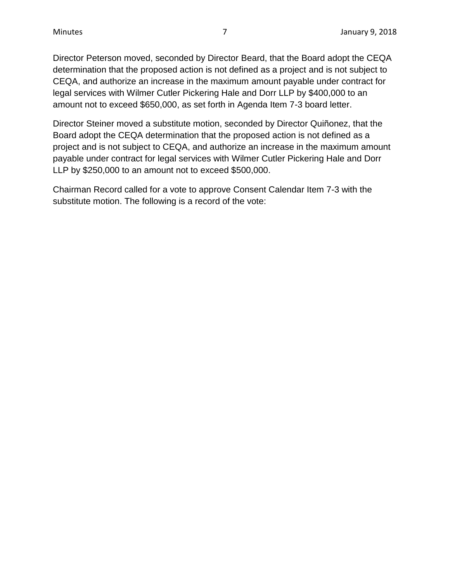Director Peterson moved, seconded by Director Beard, that the Board adopt the CEQA determination that the proposed action is not defined as a project and is not subject to CEQA, and authorize an increase in the maximum amount payable under contract for legal services with Wilmer Cutler Pickering Hale and Dorr LLP by \$400,000 to an amount not to exceed \$650,000, as set forth in Agenda Item 7-3 board letter.

Director Steiner moved a substitute motion, seconded by Director Quiñonez, that the Board adopt the CEQA determination that the proposed action is not defined as a project and is not subject to CEQA, and authorize an increase in the maximum amount payable under contract for legal services with Wilmer Cutler Pickering Hale and Dorr LLP by \$250,000 to an amount not to exceed \$500,000.

Chairman Record called for a vote to approve Consent Calendar Item 7-3 with the substitute motion. The following is a record of the vote: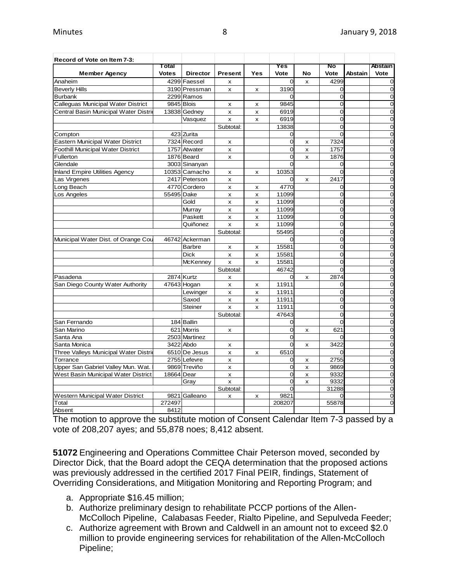| Record of Vote on Item 7-3:           |              |                 |                           |                           |                |                           |                |                |                |
|---------------------------------------|--------------|-----------------|---------------------------|---------------------------|----------------|---------------------------|----------------|----------------|----------------|
|                                       | Total        |                 |                           |                           | Yes            |                           | No             |                | <b>Abstain</b> |
| <b>Member Agency</b>                  | <b>Votes</b> | <b>Director</b> | <b>Present</b>            | Yes                       | Vote           | No                        | Vote           | <b>Abstain</b> | Vote           |
| Anaheim                               |              | 4299 Faessel    | X                         |                           | $\overline{0}$ | X                         | 4299           |                | $\Omega$       |
| <b>Beverly Hills</b>                  |              | 3190 Pressman   | x                         | x                         | 3190           |                           | $\Omega$       |                | $\mathbf 0$    |
| <b>Burbank</b>                        |              | 2299 Ramos      |                           |                           | $\Omega$       |                           | $\Omega$       |                | $\Omega$       |
| Calleguas Municipal Water District    |              | 9845 Blois      | x                         | X                         | 9845           |                           | 0              |                | 0              |
| Central Basin Municipal Water Distric |              | 13838 Gedney    | X                         | X                         | 6919           |                           | 0              |                | $\Omega$       |
|                                       |              | Vasquez         | x                         | X                         | 6919           |                           | 0              |                | 0              |
|                                       |              |                 | Subtotal:                 |                           | 13838          |                           | 0              |                | 0              |
| Compton                               |              | 423 Zurita      |                           |                           | $\overline{0}$ |                           | $\Omega$       |                | 0              |
| Eastern Municipal Water District      |              | 7324 Record     | x                         |                           | $\overline{0}$ | x                         | 7324           |                | $\Omega$       |
| Foothill Municipal Water District     |              | 1757 Atwater    | x                         |                           | $\mathbf 0$    | x                         | 1757           |                | $\mathbf 0$    |
| Fullerton                             |              | 1876 Beard      | X                         |                           | $\overline{0}$ | X                         | 1876           |                | $\mathbf 0$    |
| Glendale                              |              | 3003 Sinanyan   |                           |                           | $\Omega$       |                           | 0              |                | $\Omega$       |
| <b>Inland Empire Utilities Agency</b> |              | 10353 Camacho   | x                         | x                         | 10353          |                           | $\Omega$       |                | $\mathbf 0$    |
| Las Virgenes                          |              | 2417 Peterson   | x                         |                           | 0              | x                         | 2417           |                | $\mathbf 0$    |
| Long Beach                            |              | 4770 Cordero    | x                         | x                         | 4770           |                           | 0              |                | $\mathbf 0$    |
| Los Angeles                           | 55495 Dake   |                 | x                         | x                         | 11099          |                           | $\overline{0}$ |                | $\overline{0}$ |
|                                       |              | Gold            | X                         | X                         | 11099          |                           | $\Omega$       |                | $\Omega$       |
|                                       |              | Murray          | x                         | x                         | 11099          |                           | $\overline{0}$ |                | $\overline{0}$ |
|                                       |              | Paskett         | x                         | x                         | 11099          |                           | 0              |                | $\mathbf 0$    |
|                                       |              | Quiñonez        | x                         | X                         | 11099          |                           | $\Omega$       |                | $\Omega$       |
|                                       |              |                 | Subtotal:                 |                           | 55495          |                           | $\overline{0}$ |                | $\overline{0}$ |
| Municipal Water Dist. of Orange Cou   |              | 46742 Ackerman  |                           |                           | $\Omega$       |                           | $\Omega$       |                | 0              |
|                                       |              | <b>Barbre</b>   | x                         | X                         | 15581          |                           | $\Omega$       |                | $\Omega$       |
|                                       |              | <b>Dick</b>     | $\pmb{\times}$            | X                         | 15581          |                           | $\overline{0}$ |                | 0              |
|                                       |              | McKenney        | $\boldsymbol{\mathsf{x}}$ | x                         | 15581          |                           | $\Omega$       |                | 0              |
|                                       |              |                 | Subtotal:                 |                           | 46742          |                           | $\Omega$       |                | $\mathbf 0$    |
| Pasadena                              |              | 2874 Kurtz      | х                         |                           | 0              | x                         | 2874           |                | $\mathbf 0$    |
| San Diego County Water Authority      |              | 47643 Hogan     | X                         | X                         | 11911          |                           | 0              |                | $\overline{0}$ |
|                                       |              | Lewinger        | x                         | $\boldsymbol{\mathsf{x}}$ | 11911          |                           | $\Omega$       |                | $\overline{0}$ |
|                                       |              | Saxod           | x                         | X                         | 11911          |                           | $\Omega$       |                | $\Omega$       |
|                                       |              | Steiner         | x                         | X                         | 11911          |                           | $\Omega$       |                | $\Omega$       |
|                                       |              |                 | Subtotal:                 |                           | 47643          |                           | 0              |                | $\overline{0}$ |
| San Fernando                          |              | 184 Ballin      |                           |                           | 0              |                           | $\Omega$       |                | $\overline{0}$ |
| San Marino                            |              | 621 Morris      | x                         |                           | $\Omega$       | X                         | 621            |                | $\Omega$       |
| Santa Ana                             |              | 2503 Martinez   |                           |                           | $\overline{0}$ |                           | $\Omega$       |                | $\overline{0}$ |
| Santa Monica                          |              | 3422 Abdo       | x                         |                           | $\overline{0}$ | x                         | 3422           |                | $\mathbf 0$    |
| Three Valleys Municipal Water Distrio |              | 6510 De Jesus   | x                         | х                         | 6510           |                           | 0              |                | $\mathbf 0$    |
| Torrance                              |              | 2755 Lefevre    | X                         |                           | 0              | x                         | 2755           |                | $\overline{0}$ |
| Upper San Gabriel Valley Mun. Wat.    |              | 9869 Treviño    | X                         |                           | 0              | $\boldsymbol{\mathsf{x}}$ | 9869           |                | $\mathbf 0$    |
| West Basin Municipal Water District   | 18664 Dear   |                 | x                         |                           | $\overline{0}$ | X                         | 9332           |                | $\overline{0}$ |
|                                       |              | Gray            | x                         |                           | $\overline{0}$ | x                         | 9332           |                | $\overline{0}$ |
|                                       |              |                 | Subtotal:                 |                           | $\Omega$       |                           | 31288          |                | $\mathbf 0$    |
| Western Municipal Water District      |              | 9821 Galleano   | x                         | X                         | 9821           |                           | 0              |                | $\mathbf 0$    |
| Total                                 | 272497       |                 |                           |                           | 208207         |                           | 55878          |                | 0              |
| Absent                                | 8412         |                 |                           |                           |                |                           |                |                |                |

The motion to approve the substitute motion of Consent Calendar Item 7-3 passed by a vote of 208,207 ayes; and 55,878 noes; 8,412 absent.

**51072** Engineering and Operations Committee Chair Peterson moved, seconded by Director Dick, that the Board adopt the CEQA determination that the proposed actions was previously addressed in the certified 2017 Final PEIR, findings, Statement of Overriding Considerations, and Mitigation Monitoring and Reporting Program; and

- a. Appropriate \$16.45 million;
- b. Authorize preliminary design to rehabilitate PCCP portions of the Allen-McColloch Pipeline, Calabasas Feeder, Rialto Pipeline, and Sepulveda Feeder;
- c. Authorize agreement with Brown and Caldwell in an amount not to exceed \$2.0 million to provide engineering services for rehabilitation of the Allen-McColloch Pipeline;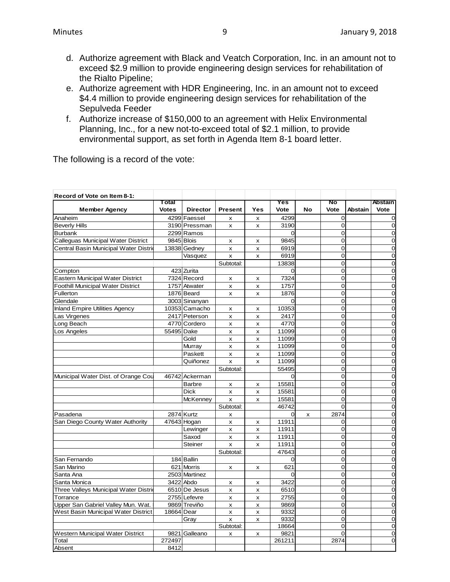- d. Authorize agreement with Black and Veatch Corporation, Inc. in an amount not to exceed \$2.9 million to provide engineering design services for rehabilitation of the Rialto Pipeline;
- e. Authorize agreement with HDR Engineering, Inc. in an amount not to exceed \$4.4 million to provide engineering design services for rehabilitation of the Sepulveda Feeder
- f. Authorize increase of \$150,000 to an agreement with Helix Environmental Planning, Inc., for a new not-to-exceed total of \$2.1 million, to provide environmental support, as set forth in Agenda Item 8-1 board letter.

The following is a record of the vote:

| Record of Vote on Item 8-1:              |              |                 |                |                           |          |    |                |                |                |
|------------------------------------------|--------------|-----------------|----------------|---------------------------|----------|----|----------------|----------------|----------------|
|                                          | Total        |                 |                |                           | Yes      |    | No             |                | Abstain        |
| <b>Member Agency</b>                     | <b>Votes</b> | <b>Director</b> | <b>Present</b> | Yes                       | Vote     | No | Vote           | <b>Abstain</b> | Vote           |
| Anaheim                                  |              | 4299 Faessel    | x              | X                         | 4299     |    | $\Omega$       |                | 0              |
| <b>Beverly Hills</b>                     |              | 3190 Pressman   | x              | X                         | 3190     |    | 0              |                | 0              |
| <b>Burbank</b>                           |              | 2299 Ramos      |                |                           | $\Omega$ |    | $\Omega$       |                | 0              |
| Calleguas Municipal Water District       |              | 9845 Blois      | x              | x                         | 9845     |    | O              |                | $\overline{0}$ |
| Central Basin Municipal Water Distric    |              | 13838 Gedney    | X              | $\boldsymbol{\mathsf{x}}$ | 6919     |    | $\Omega$       |                | $\overline{0}$ |
|                                          |              | Vasquez         | x              | X                         | 6919     |    | O              |                | $\overline{0}$ |
|                                          |              |                 | Subtotal:      |                           | 13838    |    | $\Omega$       |                | $\overline{0}$ |
| Compton                                  |              | 423 Zurita      |                |                           | $\Omega$ |    | $\overline{0}$ |                | $\overline{0}$ |
| Eastern Municipal Water District         |              | 7324 Record     | $\mathsf{x}$   | $\boldsymbol{\mathsf{x}}$ | 7324     |    | $\Omega$       |                | $\overline{0}$ |
| <b>Foothill Municipal Water District</b> |              | 1757 Atwater    | x              | X                         | 1757     |    | $\overline{O}$ |                | $\mathbf 0$    |
| Fullerton                                |              | 1876 Beard      | x              | x                         | 1876     |    | 0              |                | 0              |
| Glendale                                 |              | 3003 Sinanyan   |                |                           | $\Omega$ |    | 0              |                | $\mathbf 0$    |
| <b>Inland Empire Utilities Agency</b>    |              | 10353 Camacho   | x              | x                         | 10353    |    | 0              |                | $\overline{0}$ |
| Las Virgenes                             |              | 2417 Peterson   | x              | X                         | 2417     |    | O              |                | 0              |
| Long Beach                               |              | 4770 Cordero    | x              | X                         | 4770     |    | O              |                | 0              |
| Los Angeles                              | 55495 Dake   |                 | x              | x                         | 11099    |    | $\overline{O}$ |                | $\mathbf 0$    |
|                                          |              | Gold            | x              | $\boldsymbol{\mathsf{x}}$ | 11099    |    | $\Omega$       |                | 0              |
|                                          |              | Murray          | x              | $\pmb{\times}$            | 11099    |    | $\overline{O}$ |                | 0              |
|                                          |              | Paskett         | x              | X                         | 11099    |    | $\Omega$       |                | 0              |
|                                          |              | Quiñonez        | X              | $\pmb{\times}$            | 11099    |    | 0              |                | 0              |
|                                          |              |                 | Subtotal:      |                           | 55495    |    | Ō              |                | $\mathbf 0$    |
| Municipal Water Dist. of Orange Cou      |              | 46742 Ackerman  |                |                           | $\Omega$ |    | $\overline{O}$ |                | $\overline{0}$ |
|                                          |              | <b>Barbre</b>   | X              | X                         | 15581    |    | O              |                | 0              |
|                                          |              | <b>Dick</b>     | x              | x                         | 15581    |    | 0              |                | 0              |
|                                          |              | <b>McKenney</b> | x              | $\boldsymbol{\mathsf{x}}$ | 15581    |    | $\Omega$       |                | 0              |
|                                          |              |                 | Subtotal:      |                           | 46742    |    | $\Omega$       |                | 0              |
| Pasadena                                 |              | 2874 Kurtz      | X              |                           | $\Omega$ | X  | 2874           |                | 0              |
| San Diego County Water Authority         |              | 47643 Hogan     | x              | X                         | 11911    |    | 0              |                | 0              |
|                                          |              | Lewinger        | x              | X                         | 11911    |    | 0              |                | 0              |
|                                          |              | Saxod           | x              | x                         | 11911    |    | 0              |                | 0              |
|                                          |              | Steiner         | x              | x                         | 11911    |    | 0              |                | $\overline{0}$ |
|                                          |              |                 | Subtotal:      |                           | 47643    |    | 0              |                | 0              |
| San Fernando                             |              | 184 Ballin      |                |                           | 0        |    | $\Omega$       |                | 0              |
| San Marino                               |              | 621 Morris      | x              | X                         | 621      |    | 0              |                | $\mathbf 0$    |
| Santa Ana                                |              | 2503 Martinez   |                |                           | $\Omega$ |    | $\Omega$       |                | 0              |
| Santa Monica                             |              | 3422 Abdo       | x              | X                         | 3422     |    | 0              |                | $\mathbf 0$    |
| Three Valleys Municipal Water Distric    |              | 6510 De Jesus   | x              | X                         | 6510     |    | $\Omega$       |                | 0              |
| Torrance                                 |              | 2755 Lefevre    | X              | $\pmb{\times}$            | 2755     |    | 0              |                | 0              |
| Upper San Gabriel Valley Mun. Wat.       |              | 9869 Treviño    | x              | $\pmb{\times}$            | 9869     |    | 0              |                | $\mathbf 0$    |
| West Basin Municipal Water District      | 18664 Dear   |                 | X              | x                         | 9332     |    | O              |                | $\mathbf 0$    |
|                                          |              | Gray            | x              | x                         | 9332     |    | 0              |                | 0              |
|                                          |              |                 | Subtotal:      |                           | 18664    |    | O              |                | 0              |
| Western Municipal Water District         |              | 9821 Galleano   | x              | х                         | 9821     |    | $\Omega$       |                | 0              |
| Total                                    | 272497       |                 |                |                           | 261211   |    | 2874           |                | $\overline{0}$ |
| Absent                                   | 8412         |                 |                |                           |          |    |                |                |                |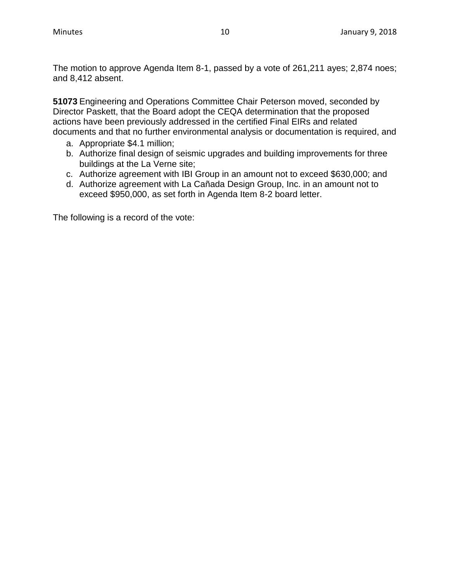The motion to approve Agenda Item 8-1, passed by a vote of 261,211 ayes; 2,874 noes; and 8,412 absent.

**51073** Engineering and Operations Committee Chair Peterson moved, seconded by Director Paskett, that the Board adopt the CEQA determination that the proposed actions have been previously addressed in the certified Final EIRs and related documents and that no further environmental analysis or documentation is required, and

- a. Appropriate \$4.1 million;
- b. Authorize final design of seismic upgrades and building improvements for three buildings at the La Verne site;
- c. Authorize agreement with IBI Group in an amount not to exceed \$630,000; and
- d. Authorize agreement with La Cañada Design Group, Inc. in an amount not to exceed \$950,000, as set forth in Agenda Item 8-2 board letter.

The following is a record of the vote: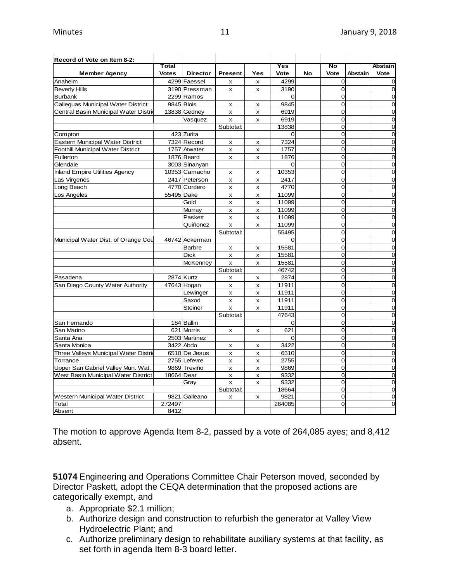| Record of Vote on Item 8-2:              |                       |                 |                           |                           |                   |    |                                  |                |                        |
|------------------------------------------|-----------------------|-----------------|---------------------------|---------------------------|-------------------|----|----------------------------------|----------------|------------------------|
| <b>Member Agency</b>                     | Total<br><b>Votes</b> | <b>Director</b> | <b>Present</b>            | Yes                       | Yes<br>Vote       | No | No<br>Vote                       | <b>Abstain</b> | <b>Abstain</b><br>Vote |
| Anaheim                                  |                       | 4299 Faessel    |                           |                           | 4299              |    | $\Omega$                         |                | $\mathbf 0$            |
| <b>Beverly Hills</b>                     |                       | 3190 Pressman   | X<br>x                    | X<br>X                    | 3190              |    | O                                |                | $\mathbf 0$            |
| <b>Burbank</b>                           |                       | 2299 Ramos      |                           |                           | $\Omega$          |    | $\overline{0}$                   |                | $\overline{O}$         |
| Calleguas Municipal Water District       | 9845 Blois            |                 |                           |                           | 9845              |    | $\Omega$                         |                | $\mathbf 0$            |
| Central Basin Municipal Water Distric    |                       | 13838 Gedney    | х                         | x                         | 6919              |    | $\overline{0}$                   |                | $\mathbf 0$            |
|                                          |                       |                 | $\pmb{\times}$            | $\pmb{\times}$            |                   |    | 0                                |                |                        |
|                                          |                       | Vasquez         | x                         | X                         | 6919              |    |                                  |                | $\mathbf 0$            |
|                                          |                       | 423 Zurita      | Subtotal:                 |                           | 13838<br>$\Omega$ |    | $\overline{O}$<br>$\overline{O}$ |                | o<br>o                 |
| Compton                                  |                       |                 |                           |                           |                   |    |                                  |                |                        |
| <b>Eastern Municipal Water District</b>  |                       | 7324 Record     | X                         | x                         | 7324              |    | $\Omega$                         |                | $\mathbf 0$            |
| <b>Foothill Municipal Water District</b> |                       | 1757 Atwater    | X                         | X                         | 1757              |    | O                                |                | $\mathbf 0$            |
| Fullerton                                |                       | 1876 Beard      | $\pmb{\times}$            | X                         | 1876              |    | O                                |                | o                      |
| Glendale                                 |                       | 3003 Sinanyan   |                           |                           | $\Omega$          |    | 0                                |                | $\mathbf 0$            |
| <b>Inland Empire Utilities Agency</b>    |                       | 10353 Camacho   | x                         | x                         | 10353             |    | $\overline{O}$                   |                | $\mathbf 0$            |
| Las Virgenes                             |                       | 2417 Peterson   | X                         | X                         | 2417              |    | $\overline{0}$                   |                | $\mathbf 0$            |
| Long Beach                               |                       | 4770 Cordero    | X                         | $\pmb{\times}$            | 4770              |    | $\overline{O}$                   |                | o                      |
| Los Angeles                              | 55495 Dake            |                 | x                         | x                         | 11099             |    | $\overline{O}$                   |                | $\mathbf 0$            |
|                                          |                       | Gold            | X                         | X                         | 11099             |    | $\Omega$                         |                | $\mathbf 0$            |
|                                          |                       | Murray          | x                         | $\pmb{\times}$            | 11099             |    | O                                |                | $\mathbf 0$            |
|                                          |                       | Paskett         | X                         | X                         | 11099             |    | $\overline{O}$                   |                | $\overline{0}$         |
|                                          |                       | Quiñonez        | x                         | $\boldsymbol{\mathsf{x}}$ | 11099             |    | 0                                |                | $\mathbf 0$            |
|                                          |                       |                 | Subtotal:                 |                           | 55495             |    | $\overline{0}$                   |                | $\mathbf 0$            |
| Municipal Water Dist. of Orange Cou      |                       | 46742 Ackerman  |                           |                           | $\Omega$          |    | $\Omega$                         |                | $\overline{0}$         |
|                                          |                       | <b>Barbre</b>   | x                         | $\pmb{\times}$            | 15581             |    | 0                                |                | $\mathbf 0$            |
|                                          |                       | <b>Dick</b>     | X                         | x                         | 15581             |    | $\overline{O}$                   |                | o                      |
|                                          |                       | <b>McKenney</b> | $\mathsf{x}$              | x                         | 15581             |    | 0                                |                | $\mathbf 0$            |
|                                          |                       |                 | Subtotal:                 |                           | 46742             |    | $\overline{O}$                   |                | $\overline{0}$         |
| Pasadena                                 |                       | 2874 Kurtz      | x                         | X                         | 2874              |    | O                                |                | $\mathbf 0$            |
| San Diego County Water Authority         |                       | 47643 Hogan     | $\boldsymbol{\mathsf{x}}$ | $\boldsymbol{\mathsf{x}}$ | 11911             |    | $\overline{0}$                   |                | $\mathbf 0$            |
|                                          |                       | Lewinger        | X                         | $\mathsf{x}$              | 11911             |    | $\overline{O}$                   |                | $\mathbf 0$            |
|                                          |                       | Saxod           | X                         | X                         | 11911             |    | $\overline{0}$                   |                | $\mathbf 0$            |
|                                          |                       | <b>Steiner</b>  | x                         | $\boldsymbol{\mathsf{x}}$ | 11911             |    | $\Omega$                         |                | $\mathbf 0$            |
|                                          |                       |                 | Subtotal:                 |                           | 47643             |    | $\overline{0}$                   |                | $\mathbf 0$            |
| San Fernando                             |                       | 184 Ballin      |                           |                           | $\Omega$          |    | 0                                |                | $\mathbf 0$            |
| San Marino                               |                       | 621 Morris      | X                         | X                         | 621               |    | $\Omega$                         |                | $\mathbf 0$            |
| Santa Ana                                |                       | 2503 Martinez   |                           |                           | $\Omega$          |    | $\overline{O}$                   |                | $\overline{0}$         |
| Santa Monica                             |                       | 3422 Abdo       | X                         | X                         | 3422              |    | 0                                |                | $\mathbf 0$            |
| Three Valleys Municipal Water Distric    |                       | 6510 De Jesus   | X                         | X                         | 6510              |    | 0                                |                | $\mathbf 0$            |
| Torrance                                 |                       | 2755 Lefevre    | $\pmb{\times}$            | $\pmb{\times}$            | 2755              |    | $\Omega$                         |                | $\overline{0}$         |
| Upper San Gabriel Valley Mun. Wat.       |                       | 9869 Treviño    | X                         | X                         | 9869              |    | 0                                |                | $\mathbf 0$            |
| West Basin Municipal Water District      | 18664 Dear            |                 | x                         | $\pmb{\times}$            | 9332              |    | $\overline{O}$                   |                | o                      |
|                                          |                       | Gray            | X                         | X                         | 9332              |    | $\overline{0}$                   |                | o                      |
|                                          |                       |                 | Subtotal:                 |                           | 18664             |    | 0                                |                | $\mathbf 0$            |
| Western Municipal Water District         |                       | 9821 Galleano   | X                         | $\boldsymbol{\mathsf{x}}$ | 9821              |    | $\overline{0}$                   |                | $\mathbf 0$            |
| Total                                    | 272497                |                 |                           |                           | 264085            |    | $\Omega$                         |                | $\mathbf 0$            |
| Absent                                   | 8412                  |                 |                           |                           |                   |    |                                  |                |                        |

The motion to approve Agenda Item 8-2, passed by a vote of 264,085 ayes; and 8,412 absent.

**51074** Engineering and Operations Committee Chair Peterson moved, seconded by Director Paskett, adopt the CEQA determination that the proposed actions are categorically exempt, and

- a. Appropriate \$2.1 million;
- b. Authorize design and construction to refurbish the generator at Valley View Hydroelectric Plant; and
- c. Authorize preliminary design to rehabilitate auxiliary systems at that facility, as set forth in agenda Item 8-3 board letter.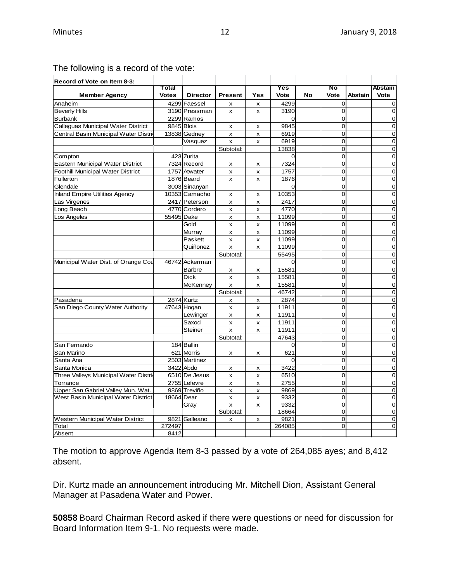| Record of Vote on Item 8-3:              |              |                 |                           |                           |                |    |                |         |                |
|------------------------------------------|--------------|-----------------|---------------------------|---------------------------|----------------|----|----------------|---------|----------------|
|                                          | Total        |                 |                           |                           | Yes            |    | No             |         | <b>Abstain</b> |
| <b>Member Agency</b>                     | <b>Votes</b> | <b>Director</b> | <b>Present</b>            | Yes                       | Vote           | No | Vote           | Abstain | Vote           |
| Anaheim                                  |              | 4299 Faessel    | x                         | x                         | 4299           |    | $\overline{0}$ |         | 0              |
| <b>Beverly Hills</b>                     |              | 3190 Pressman   | X                         | X                         | 3190           |    | $\overline{0}$ |         | 0              |
| <b>Burbank</b>                           |              | 2299 Ramos      |                           |                           | $\overline{0}$ |    | $\overline{0}$ |         | $\mathbf 0$    |
| Calleguas Municipal Water District       |              | 9845 Blois      | x                         | x                         | 9845           |    | $\mathbf 0$    |         | $\mathbf 0$    |
| Central Basin Municipal Water Distri     |              | 13838 Gedney    | X                         | $\boldsymbol{\mathsf{x}}$ | 6919           |    | $\Omega$       |         | $\Omega$       |
|                                          |              | Vasquez         | X                         | x                         | 6919           |    | $\overline{0}$ |         | $\overline{0}$ |
|                                          |              |                 | Subtotal:                 |                           | 13838          |    | 0              |         | 0              |
| Compton                                  |              | 423 Zurita      |                           |                           | 0              |    | $\overline{0}$ |         | 0              |
| <b>Eastern Municipal Water District</b>  |              | 7324 Record     | x                         | x                         | 7324           |    | $\overline{0}$ |         | $\overline{0}$ |
| <b>Foothill Municipal Water District</b> |              | 1757 Atwater    | $\mathsf{x}$              | $\mathsf{x}$              | 1757           |    | $\Omega$       |         | $\overline{0}$ |
| Fullerton                                |              | 1876 Beard      | x                         | x                         | 1876           |    | $\overline{0}$ |         | $\overline{0}$ |
| Glendale                                 |              | 3003 Sinanyan   |                           |                           | $\Omega$       |    | $\overline{0}$ |         | $\overline{0}$ |
| <b>Inland Empire Utilities Agency</b>    |              | 10353 Camacho   | x                         | x                         | 10353          |    | $\overline{0}$ |         | $\overline{0}$ |
| Las Virgenes                             |              | 2417 Peterson   | x                         | x                         | 2417           |    | $\overline{0}$ |         | $\overline{0}$ |
| Long Beach                               |              | 4770 Cordero    | X                         | x                         | 4770           |    | $\overline{0}$ |         | $\overline{0}$ |
| Los Angeles                              | 55495 Dake   |                 | $\pmb{\times}$            | $\pmb{\times}$            | 11099          |    | 0              |         | $\mathbf 0$    |
|                                          |              | Gold            | x                         | $\mathsf{x}$              | 11099          |    | $\overline{0}$ |         | $\overline{0}$ |
|                                          |              | Murray          | $\pmb{\times}$            | $\pmb{\times}$            | 11099          |    | $\overline{0}$ |         | $\overline{0}$ |
|                                          |              | Paskett         | x                         | x                         | 11099          |    | $\overline{0}$ |         | $\overline{0}$ |
|                                          |              | Quiñonez        | X                         | x                         | 11099          |    | $\overline{0}$ |         | $\overline{0}$ |
|                                          |              |                 | Subtotal:                 |                           | 55495          |    | $\overline{0}$ |         | $\overline{0}$ |
| Municipal Water Dist. of Orange Cou      |              | 46742 Ackerman  |                           |                           | $\Omega$       |    | $\Omega$       |         | 0              |
|                                          |              | <b>Barbre</b>   | x                         | x                         | 15581          |    | 0              |         | 0              |
|                                          |              | Dick            | $\pmb{\times}$            | x                         | 15581          |    | $\overline{O}$ |         | $\mathbf 0$    |
|                                          |              | McKenney        | x                         | X                         | 15581          |    | $\mathbf 0$    |         | $\mathbf 0$    |
|                                          |              |                 | Subtotal:                 |                           | 46742          |    | $\overline{0}$ |         | $\overline{0}$ |
| Pasadena                                 |              | 2874 Kurtz      | X                         | x                         | 2874           |    | $\overline{0}$ |         | $\overline{0}$ |
| San Diego County Water Authority         |              | 47643 Hogan     | X                         | $\pmb{\times}$            | 11911          |    | $\mathbf 0$    |         | $\mathbf 0$    |
|                                          |              | Lewinger        | X                         | x                         | 11911          |    | $\overline{O}$ |         | $\overline{0}$ |
|                                          |              | Saxod           | X                         | x                         | 11911          |    | $\Omega$       |         | $\mathbf 0$    |
|                                          |              | <b>Steiner</b>  | x                         | $\pmb{\times}$            | 11911          |    | $\overline{0}$ |         | 0              |
|                                          |              |                 | Subtotal:                 |                           | 47643          |    | 0              |         | $\overline{0}$ |
| San Fernando                             |              | 184 Ballin      |                           |                           | 0              |    | 0              |         | $\mathbf 0$    |
| San Marino                               |              | 621 Morris      | $\boldsymbol{\mathsf{x}}$ | x                         | 621            |    | $\overline{0}$ |         | $\overline{0}$ |
| Santa Ana                                |              | 2503 Martinez   |                           |                           | $\Omega$       |    | $\overline{0}$ |         | $\overline{0}$ |
| Santa Monica                             |              | 3422 Abdo       | x                         | x                         | 3422           |    | $\mathbf 0$    |         | $\mathbf 0$    |
| Three Valleys Municipal Water Distric    |              | 6510 De Jesus   | x                         | x                         | 6510           |    | $\overline{O}$ |         | $\overline{O}$ |
| Torrance                                 |              | 2755 Lefevre    | x                         | $\pmb{\times}$            | 2755           |    | $\Omega$       |         | $\mathbf 0$    |
| Upper San Gabriel Valley Mun. Wat.       |              | 9869 Treviño    | x                         | x                         | 9869           |    | $\overline{O}$ |         | $\overline{0}$ |
| West Basin Municipal Water District      | 18664 Dear   |                 | x                         | $\pmb{\times}$            | 9332           |    | $\overline{0}$ |         | $\overline{0}$ |
|                                          |              | Gray            | $\boldsymbol{\mathsf{x}}$ | x                         | 9332           |    | $\overline{0}$ |         | $\overline{0}$ |
|                                          |              |                 | Subtotal:                 |                           | 18664          |    | $\mathbf 0$    |         | $\mathbf 0$    |
| Western Municipal Water District         |              | 9821 Galleano   | x                         | x                         | 9821           |    | $\overline{0}$ |         | 0              |
| Total                                    | 272497       |                 |                           |                           | 264085         |    | $\Omega$       |         | $\mathbf 0$    |
| Absent                                   | 8412         |                 |                           |                           |                |    |                |         |                |

# The following is a record of the vote:

The motion to approve Agenda Item 8-3 passed by a vote of 264,085 ayes; and 8,412 absent.

Dir. Kurtz made an announcement introducing Mr. Mitchell Dion, Assistant General Manager at Pasadena Water and Power.

**50858** Board Chairman Record asked if there were questions or need for discussion for Board Information Item 9-1. No requests were made.